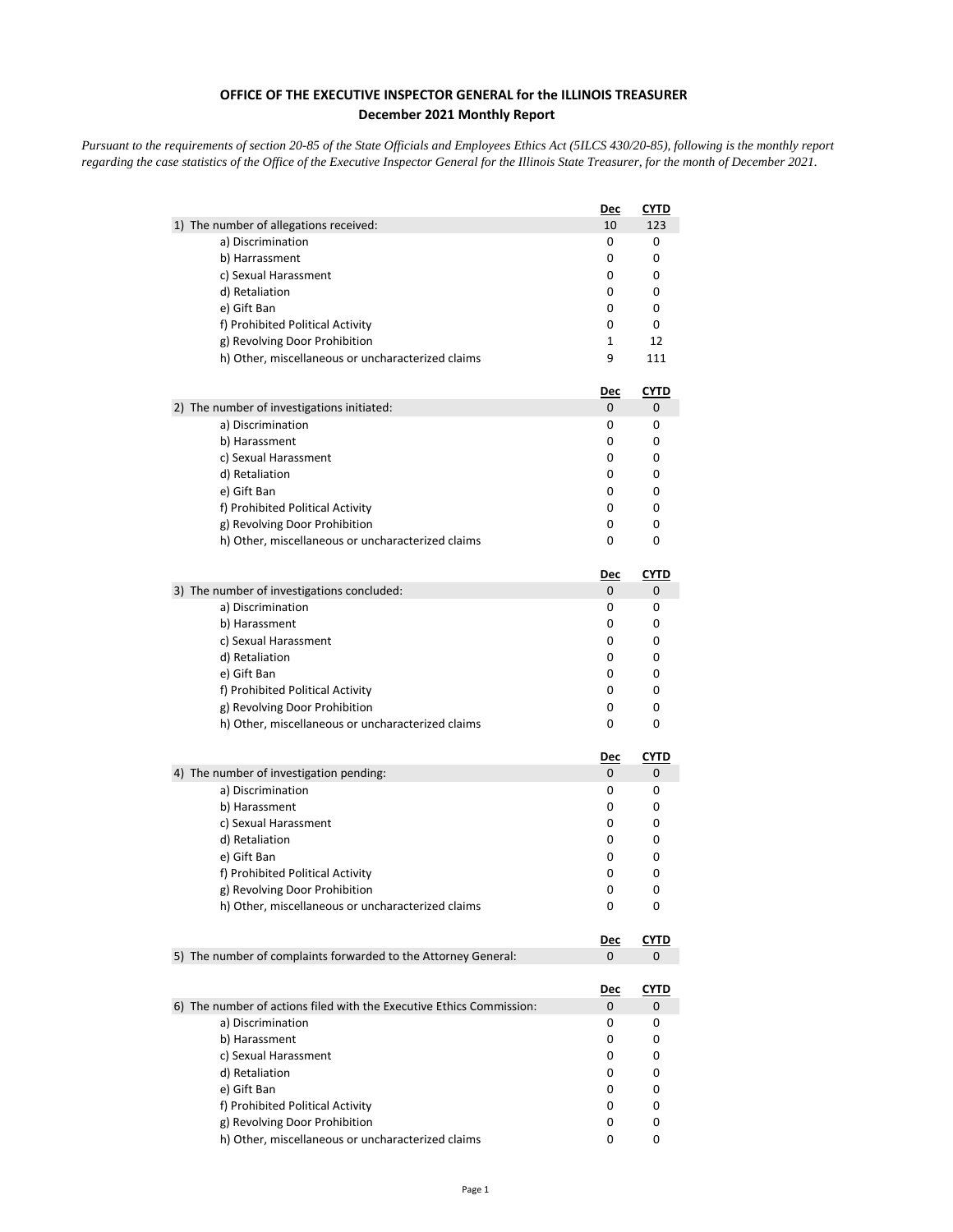## **OFFICE OF THE EXECUTIVE INSPECTOR GENERAL for the ILLINOIS TREASURER December 2021 Monthly Report**

*Pursuant to the requirements of section 20-85 of the State Officials and Employees Ethics Act (5ILCS 430/20-85), following is the monthly report regarding the case statistics of the Office of the Executive Inspector General for the Illinois State Treasurer, for the month of December 2021.* 

|                                                                      | Dec        | <b>CYTD</b> |
|----------------------------------------------------------------------|------------|-------------|
| 1) The number of allegations received:                               | 10         | 123         |
| a) Discrimination                                                    | 0          | 0           |
| b) Harrassment                                                       | 0          | 0           |
| c) Sexual Harassment                                                 | 0          | 0           |
| d) Retaliation                                                       | 0          | 0           |
| e) Gift Ban                                                          | 0          | 0           |
| f) Prohibited Political Activity                                     | 0          | 0           |
| g) Revolving Door Prohibition                                        | 1          | 12          |
| h) Other, miscellaneous or uncharacterized claims                    | 9          | 111         |
|                                                                      | <u>Dec</u> | <u>CYTD</u> |
| 2) The number of investigations initiated:                           | 0          | 0           |
| a) Discrimination                                                    | 0<br>0     | 0<br>0      |
| b) Harassment<br>c) Sexual Harassment                                | 0          | 0           |
| d) Retaliation                                                       | 0          | 0           |
| e) Gift Ban                                                          | 0          | 0           |
| f) Prohibited Political Activity                                     | 0          | 0           |
| g) Revolving Door Prohibition                                        | 0          | 0           |
| h) Other, miscellaneous or uncharacterized claims                    | 0          | 0           |
|                                                                      | Dec        | <u>CYTD</u> |
| 3) The number of investigations concluded:                           | 0          | 0           |
| a) Discrimination                                                    | 0          | 0           |
| b) Harassment                                                        | 0          | 0           |
| c) Sexual Harassment                                                 | 0          | 0           |
| d) Retaliation                                                       | 0          | 0           |
| e) Gift Ban                                                          | 0          | 0           |
| f) Prohibited Political Activity                                     | 0          | 0           |
| g) Revolving Door Prohibition                                        | 0          | 0           |
| h) Other, miscellaneous or uncharacterized claims                    | 0          | 0           |
|                                                                      | <u>Dec</u> | <u>CYTD</u> |
| 4) The number of investigation pending:                              | 0          | 0           |
| a) Discrimination                                                    | 0          | 0           |
| b) Harassment                                                        | 0          | 0           |
| c) Sexual Harassment                                                 | 0          | 0           |
| d) Retaliation                                                       | 0          | 0           |
| e) Gift Ban                                                          | 0          | 0           |
| f) Prohibited Political Activity                                     | 0          | 0           |
| g) Revolving Door Prohibition                                        | 0          | 0           |
| h) Other, miscellaneous or uncharacterized claims                    | 0          | 0           |
|                                                                      | <u>Dec</u> | CYTD        |
| 5) The number of complaints forwarded to the Attorney General:       | 0          | 0           |
|                                                                      | <u>Dec</u> | <u>CYTD</u> |
| 6) The number of actions filed with the Executive Ethics Commission: | 0          | 0           |
| a) Discrimination                                                    | 0          | 0           |
| b) Harassment                                                        | 0          | 0           |
| c) Sexual Harassment                                                 | 0          | 0           |
| d) Retaliation                                                       | 0          | 0           |
| e) Gift Ban                                                          | 0          | 0           |
| f) Prohibited Political Activity                                     | 0          | 0           |
| g) Revolving Door Prohibition                                        | 0          | 0           |
| h) Other, miscellaneous or uncharacterized claims                    | 0          | 0           |